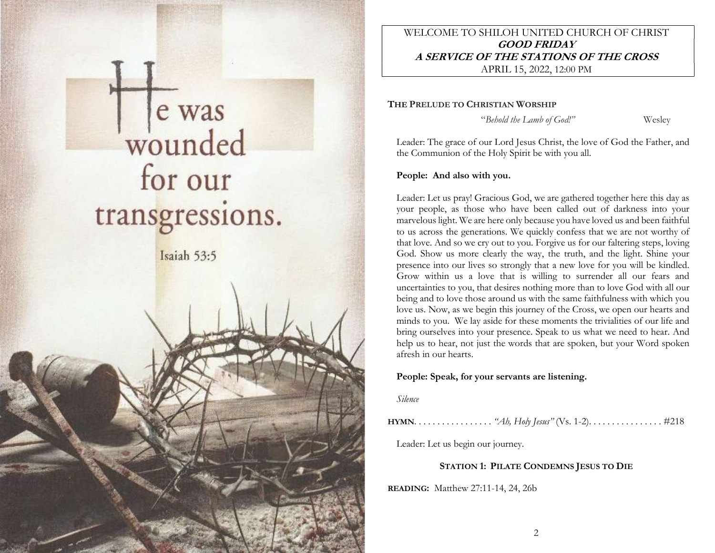

# WELCOME TO SHILOH UNITED CHURCH OF CHRIST GOOD FRIDAY A SERVICE OF THE STATIONS OF THE CROSS APRIL 15, 2022, 12:00 PM

THE PRELUDE TO CHRISTIAN WORSHIP

"Behold the Lamb of God!" Wesley

Leader: The grace of our Lord Jesus Christ, the love of God the Father, and the Communion of the Holy Spirit be with you all.

# People: And also with you.

Leader: Let us pray! Gracious God, we are gathered together here this day as your people, as those who have been called out of darkness into your marvelous light. We are here only because you have loved us and been faithful to us across the generations. We quickly confess that we are not worthy of that love. And so we cry out to you. Forgive us for our faltering steps, loving God. Show us more clearly the way, the truth, and the light. Shine your presence into our lives so strongly that a new love for you will be kindled. Grow within us a love that is willing to surrender all our fears and uncertainties to you, that desires nothing more than to love God with all our being and to love those around us with the same faithfulness with which you love us. Now, as we begin this journey of the Cross, we open our hearts and minds to you. We lay aside for these moments the trivialities of our life and bring ourselves into your presence. Speak to us what we need to hear. And help us to hear, not just the words that are spoken, but your Word spoken afresh in our hearts.

## People: Speak, for your servants are listening.

Silence

HYMN. . . . . . . . . . . . . . . . . "Ah, Holy Jesus" (Vs. 1-2). . . . . . . . . . . . . . . . #218

Leader: Let us begin our journey.

# STATION 1: PILATE CONDEMNS JESUS TO DIE

READING: Matthew 27:11-14, 24, 26b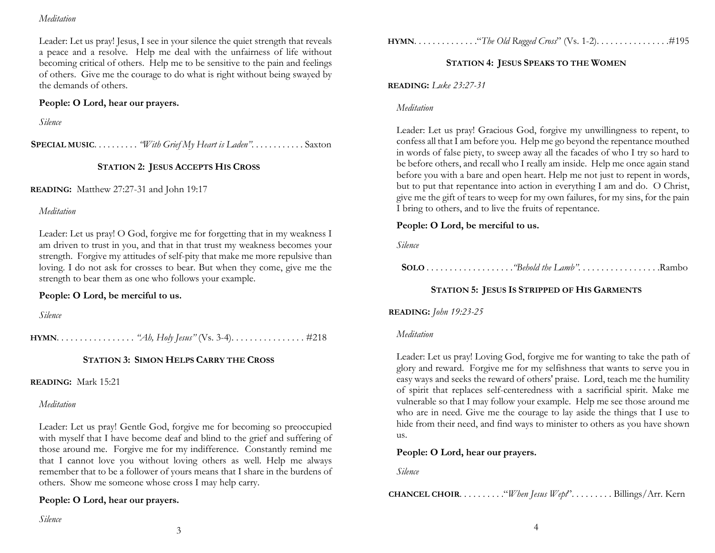#### Meditation

Leader: Let us pray! Jesus, I see in your silence the quiet strength that reveals a peace and a resolve. Help me deal with the unfairness of life without becoming critical of others. Help me to be sensitive to the pain and feelings of others. Give me the courage to do what is right without being swayed by the demands of others.

## People: O Lord, hear our prayers.

Silence

SPECIAL MUSIC. . . . . . . . . . "With Grief My Heart is Laden". . . . . . . . . . . . Saxton

# STATION 2: JESUS ACCEPTS HIS CROSS

READING: Matthew 27:27-31 and John 19:17

### Meditation

Leader: Let us pray! O God, forgive me for forgetting that in my weakness I am driven to trust in you, and that in that trust my weakness becomes your strength. Forgive my attitudes of self-pity that make me more repulsive than loving. I do not ask for crosses to bear. But when they come, give me the strength to bear them as one who follows your example.

## People: O Lord, be merciful to us.

Silence

HYMN. . . . . . . . . . . . . . . . . "Ah, Holy Jesus" (Vs. 3-4). . . . . . . . . . . . . . . . #218

# STATION 3: SIMON HELPS CARRY THE CROSS

READING: Mark 15:21

# Meditation

Leader: Let us pray! Gentle God, forgive me for becoming so preoccupied with myself that I have become deaf and blind to the grief and suffering of those around me. Forgive me for my indifference. Constantly remind me that I cannot love you without loving others as well. Help me always remember that to be a follower of yours means that I share in the burdens of others. Show me someone whose cross I may help carry.

## People: O Lord, hear our prayers.

HYMN. . . . . . . . . . . . . ."The Old Rugged Cross" (Vs. 1-2). . . . . . . . . . . . . . . .#195

# STATION 4: JESUS SPEAKS TO THE WOMEN

READING: Luke 23:27-31

### Meditation

Leader: Let us pray! Gracious God, forgive my unwillingness to repent, to confess all that  $\overline{I}$  am before you. Help me go beyond the repentance mouthed in words of false piety, to sweep away all the facades of who I try so hard to be before others, and recall who I really am inside. Help me once again stand before you with a bare and open heart. Help me not just to repent in words, but to put that repentance into action in everything I am and do. O Christ, give me the gift of tears to weep for my own failures, for my sins, for the pain I bring to others, and to live the fruits of repentance.

# People: O Lord, be merciful to us.

Silence

SOLO . . . . . . . . . . . . . . . . . . ."Behold the Lamb". . . . . . . . . . . . . . . . . .Rambo

# STATION 5: JESUS IS STRIPPED OF HIS GARMENTS

## READING: John 19:23-25

#### Meditation

Leader: Let us pray! Loving God, forgive me for wanting to take the path of glory and reward. Forgive me for my selfishness that wants to serve you in easy ways and seeks the reward of others' praise. Lord, teach me the humility of spirit that replaces self-centeredness with a sacrificial spirit. Make me vulnerable so that I may follow your example. Help me see those around me who are in need. Give me the courage to lay aside the things that I use to hide from their need, and find ways to minister to others as you have shown us.

# People: O Lord, hear our prayers.

Silence

CHANCEL CHOIR. . . . . . . . . ."When Jesus Wept". . . . . . . . . Billings/Arr. Kern

Silence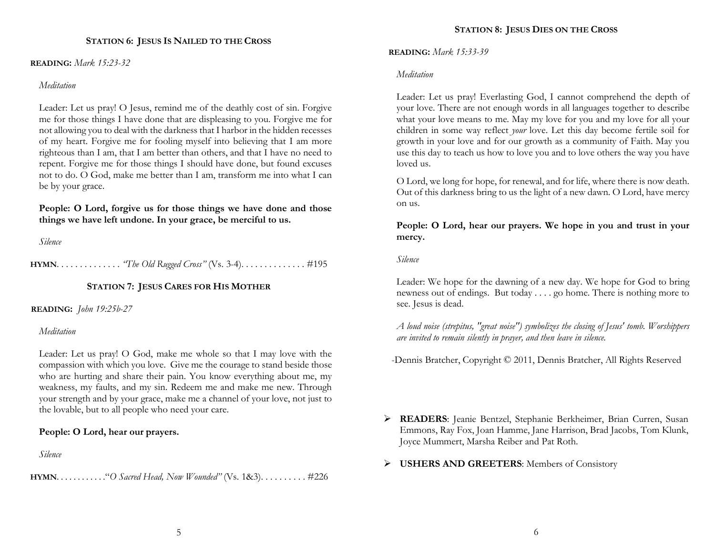### STATION 6: JESUS IS NAILED TO THE CROSS

#### READING: Mark 15:23-32

#### Meditation

Leader: Let us pray! O Jesus, remind me of the deathly cost of sin. Forgive me for those things I have done that are displeasing to you. Forgive me for not allowing you to deal with the darkness that I harbor in the hidden recesses of my heart. Forgive me for fooling myself into believing that I am more righteous than I am, that I am better than others, and that I have no need to repent. Forgive me for those things I should have done, but found excuses not to do. O God, make me better than I am, transform me into what I can be by your grace.

People: O Lord, forgive us for those things we have done and those things we have left undone. In your grace, be merciful to us.

Silence

HYMN. . . . . . . . . . . . . . "The Old Rugged Cross" (Vs. 3-4). . . . . . . . . . . . . . #195

# STATION 7: JESUS CARES FOR HIS MOTHER

#### READING: John 19:25b-27

#### Meditation

Leader: Let us pray! O God, make me whole so that I may love with the compassion with which you love. Give me the courage to stand beside those who are hurting and share their pain. You know everything about me, my weakness, my faults, and my sin. Redeem me and make me new. Through your strength and by your grace, make me a channel of your love, not just to the lovable, but to all people who need your care.

## People: O Lord, hear our prayers.

Silence

HYMN. . . . . . . . . . . ."O Sacred Head, Now Wounded" (Vs. 1&3). . . . . . . . . . #226

READING: Mark 15:33-39

#### Meditation

Leader: Let us pray! Everlasting God, I cannot comprehend the depth of your love. There are not enough words in all languages together to describe what your love means to me. May my love for you and my love for all your children in some way reflect your love. Let this day become fertile soil for growth in your love and for our growth as a community of Faith. May you use this day to teach us how to love you and to love others the way you have loved us.

O Lord, we long for hope, for renewal, and for life, where there is now death. Out of this darkness bring to us the light of a new dawn. O Lord, have mercy on us.

People: O Lord, hear our prayers. We hope in you and trust in your mercy.

Silence

Leader: We hope for the dawning of a new day. We hope for God to bring newness out of endings. But today . . . . go home. There is nothing more to see. Jesus is dead.

A loud noise (strepitus, "great noise") symbolizes the closing of Jesus' tomb. Worshippers are invited to remain silently in prayer, and then leave in silence.

-Dennis Bratcher, Copyright © 2011, Dennis Bratcher, All Rights Reserved

- READERS: Jeanie Bentzel, Stephanie Berkheimer, Brian Curren, Susan Emmons, Ray Fox, Joan Hamme, Jane Harrison, Brad Jacobs, Tom Klunk, Joyce Mummert, Marsha Reiber and Pat Roth.
- > USHERS AND GREETERS: Members of Consistory